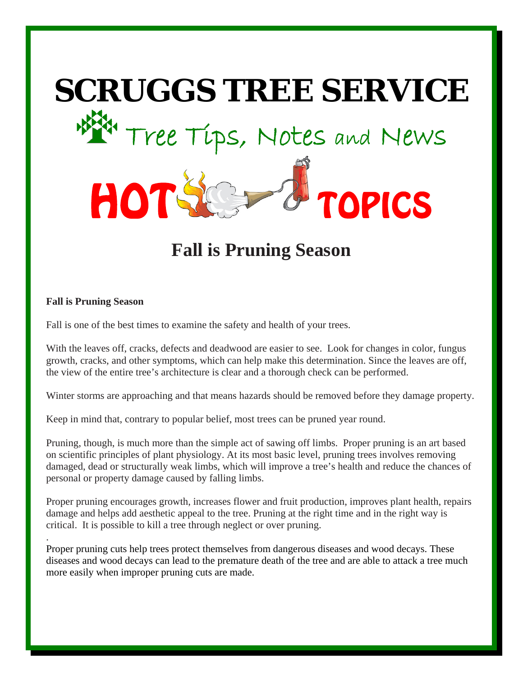

# **Fall is Pruning Season**

### **Fall is Pruning Season**

.

Fall is one of the best times to examine the safety and health of your trees.

With the leaves off, cracks, defects and deadwood are easier to see. Look for changes in color, fungus growth, cracks, and other symptoms, which can help make this determination. Since the leaves are off, the view of the entire tree's architecture is clear and a thorough check can be performed.

Winter storms are approaching and that means hazards should be removed before they damage property.

Keep in mind that, contrary to popular belief, most trees can be pruned year round.

Pruning, though, is much more than the simple act of sawing off limbs. Proper pruning is an art based on scientific principles of plant physiology. At its most basic level, pruning trees involves removing damaged, dead or structurally weak limbs, which will improve a tree's health and reduce the chances of personal or property damage caused by falling limbs.

Proper pruning encourages growth, increases flower and fruit production, improves plant health, repairs damage and helps add aesthetic appeal to the tree. Pruning at the right time and in the right way is critical. It is possible to kill a tree through neglect or over pruning.

Proper pruning cuts help trees protect themselves from dangerous diseases and wood decays. These diseases and wood decays can lead to the premature death of the tree and are able to attack a tree much more easily when improper pruning cuts are made.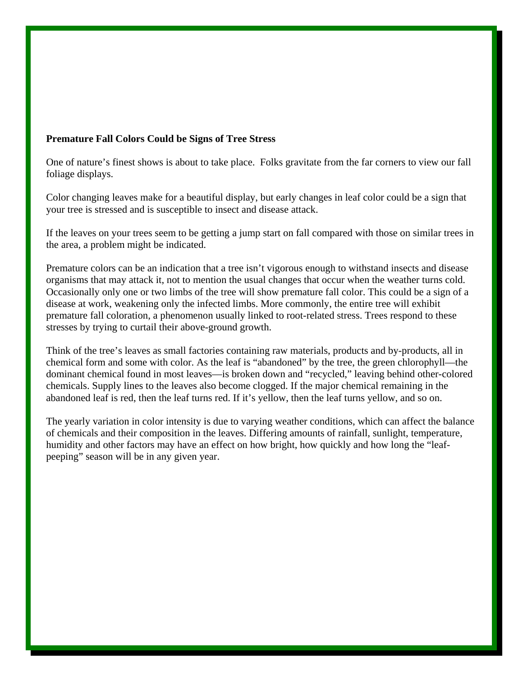## **Premature Fall Colors Could be Signs of Tree Stress**

One of nature's finest shows is about to take place. Folks gravitate from the far corners to view our fall foliage displays.

Color changing leaves make for a beautiful display, but early changes in leaf color could be a sign that your tree is stressed and is susceptible to insect and disease attack.

If the leaves on your trees seem to be getting a jump start on fall compared with those on similar trees in the area, a problem might be indicated.

Premature colors can be an indication that a tree isn't vigorous enough to withstand insects and disease organisms that may attack it, not to mention the usual changes that occur when the weather turns cold. Occasionally only one or two limbs of the tree will show premature fall color. This could be a sign of a disease at work, weakening only the infected limbs. More commonly, the entire tree will exhibit premature fall coloration, a phenomenon usually linked to root-related stress. Trees respond to these stresses by trying to curtail their above-ground growth.

Think of the tree's leaves as small factories containing raw materials, products and by-products, all in chemical form and some with color. As the leaf is "abandoned" by the tree, the green chlorophyll—the dominant chemical found in most leaves—is broken down and "recycled," leaving behind other-colored chemicals. Supply lines to the leaves also become clogged. If the major chemical remaining in the abandoned leaf is red, then the leaf turns red. If it's yellow, then the leaf turns yellow, and so on.

The yearly variation in color intensity is due to varying weather conditions, which can affect the balance of chemicals and their composition in the leaves. Differing amounts of rainfall, sunlight, temperature, humidity and other factors may have an effect on how bright, how quickly and how long the "leafpeeping" season will be in any given year.